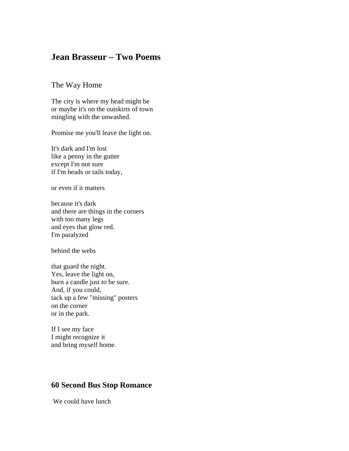## **Jean Brasseur – Two Poems**

## The Way Home

The city is where my head might be or maybe it's on the outskirts of town mingling with the unwashed.

Promise me you'll leave the light on.

It's dark and I'm lost like a penny in the gutter except I'm not sure if I'm heads or tails today,

or even if it matters

because it's dark and there are things in the corners with too many legs and eyes that glow red. I'm paralyzed

behind the webs

that guard the night. Yes, leave the light on, burn a candle just to be sure. And, if you could, tack up a few "missing" posters on the corner or in the park.

If I see my face I might recognize it and bring myself home.

## **60 Second Bus Stop Romance**

We could have lunch